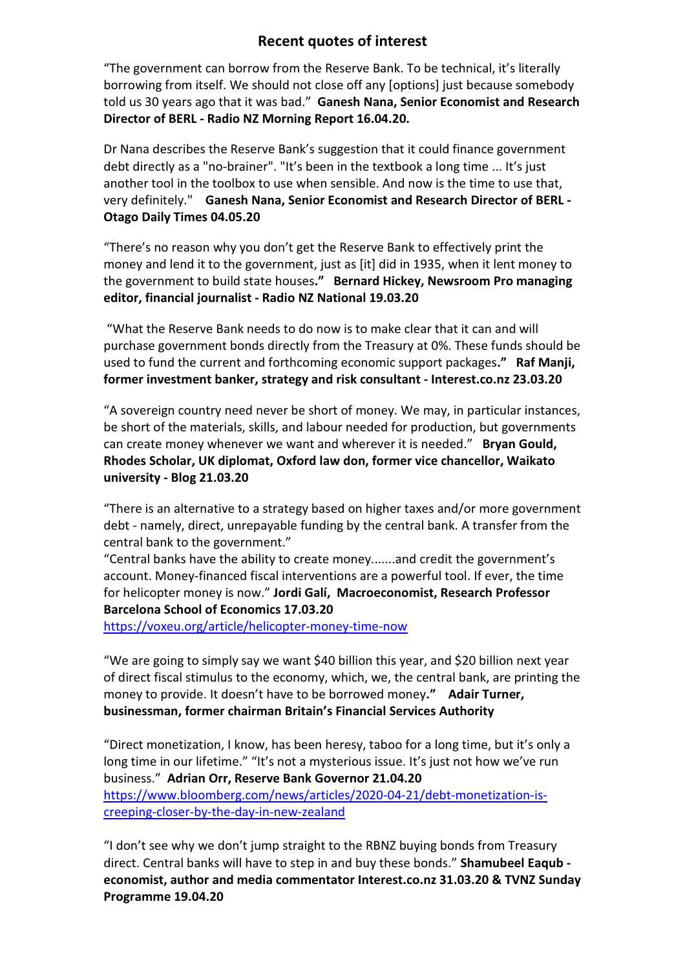## Recent quotes of interest

"The government can borrow from the Reserve Bank. To be technical, it's literally borrowing from itself. We should not close off any [options] just because somebody told us 30 years ago that it was bad." Ganesh Nana, Senior Economist and Research Director of BERL - Radio NZ Morning Report 16.04.20.

Dr Nana describes the Reserve Bank's suggestion that it could finance government debt directly as a "no-brainer". "It's been in the textbook a long time ... It's just another tool in the toolbox to use when sensible. And now is the time to use that, very definitely." Ganesh Nana, Senior Economist and Research Director of BERL - Otago Daily Times 04.05.20

"There's no reason why you don't get the Reserve Bank to effectively print the money and lend it to the government, just as [it] did in 1935, when it lent money to the government to build state houses." Bernard Hickey, Newsroom Pro managing editor, financial journalist - Radio NZ National 19.03.20

 "What the Reserve Bank needs to do now is to make clear that it can and will purchase government bonds directly from the Treasury at 0%. These funds should be used to fund the current and forthcoming economic support packages." Raf Manji, former investment banker, strategy and risk consultant - Interest.co.nz 23.03.20

"A sovereign country need never be short of money. We may, in particular instances, be short of the materials, skills, and labour needed for production, but governments can create money whenever we want and wherever it is needed." Bryan Gould, Rhodes Scholar, UK diplomat, Oxford law don, former vice chancellor, Waikato university - Blog 21.03.20

"There is an alternative to a strategy based on higher taxes and/or more government debt - namely, direct, unrepayable funding by the central bank. A transfer from the central bank to the government."

"Central banks have the ability to create money.......and credit the government's account. Money-financed fiscal interventions are a powerful tool. If ever, the time for helicopter money is now." Jordi Galí, Macroeconomist, Research Professor Barcelona School of Economics 17.03.20

https://voxeu.org/article/helicopter-money-time-now

"We are going to simply say we want \$40 billion this year, and \$20 billion next year of direct fiscal stimulus to the economy, which, we, the central bank, are printing the money to provide. It doesn't have to be borrowed money." Adair Turner, businessman, former chairman Britain's Financial Services Authority

"Direct monetization, I know, has been heresy, taboo for a long time, but it's only a long time in our lifetime." "It's not a mysterious issue. It's just not how we've run business." Adrian Orr, Reserve Bank Governor 21.04.20 https://www.bloomberg.com/news/articles/2020-04-21/debt-monetization-iscreeping-closer-by-the-day-in-new-zealand

"I don't see why we don't jump straight to the RBNZ buying bonds from Treasury direct. Central banks will have to step in and buy these bonds." Shamubeel Eaqub economist, author and media commentator Interest.co.nz 31.03.20 & TVNZ Sunday Programme 19.04.20